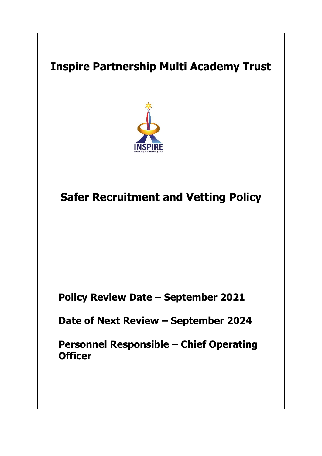# **Inspire Partnership Multi Academy Trust**



**Safer Recruitment and Vetting Policy**

**Policy Review Date – September 2021**

**Date of Next Review – September 2024**

**Personnel Responsible – Chief Operating Officer**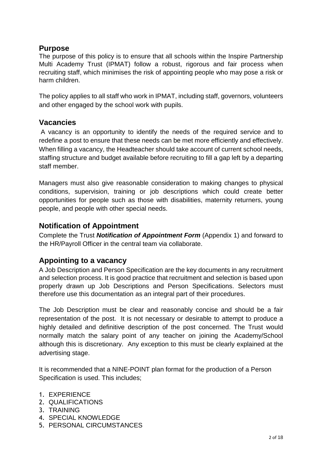# **Purpose**

The purpose of this policy is to ensure that all schools within the Inspire Partnership Multi Academy Trust (IPMAT) follow a robust, rigorous and fair process when recruiting staff, which minimises the risk of appointing people who may pose a risk or harm children.

The policy applies to all staff who work in IPMAT, including staff, governors, volunteers and other engaged by the school work with pupils.

# **Vacancies**

A vacancy is an opportunity to identify the needs of the required service and to redefine a post to ensure that these needs can be met more efficiently and effectively. When filling a vacancy, the Headteacher should take account of current school needs, staffing structure and budget available before recruiting to fill a gap left by a departing staff member.

Managers must also give reasonable consideration to making changes to physical conditions, supervision, training or job descriptions which could create better opportunities for people such as those with disabilities, maternity returners, young people, and people with other special needs.

# **Notification of Appointment**

Complete the Trust *Notification of Appointment Form* (Appendix 1) and forward to the HR/Payroll Officer in the central team via collaborate.

# **Appointing to a vacancy**

A Job Description and Person Specification are the key documents in any recruitment and selection process. It is good practice that recruitment and selection is based upon properly drawn up Job Descriptions and Person Specifications. Selectors must therefore use this documentation as an integral part of their procedures.

The Job Description must be clear and reasonably concise and should be a fair representation of the post. It is not necessary or desirable to attempt to produce a highly detailed and definitive description of the post concerned. The Trust would normally match the salary point of any teacher on joining the Academy/School although this is discretionary. Any exception to this must be clearly explained at the advertising stage.

It is recommended that a NINE-POINT plan format for the production of a Person Specification is used. This includes;

- 1. EXPERIENCE
- 2. QUALIFICATIONS
- 3. TRAINING
- 4. SPECIAL KNOWLEDGE
- 5. PERSONAL CIRCUMSTANCES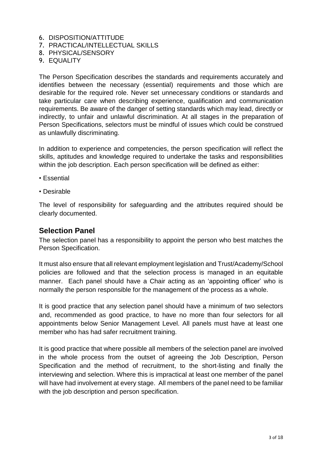- 6. DISPOSITION/ATTITUDE
- 7. PRACTICAL/INTELLECTUAL SKILLS
- 8. PHYSICAL/SENSORY
- 9. EQUALITY

The Person Specification describes the standards and requirements accurately and identifies between the necessary (essential) requirements and those which are desirable for the required role. Never set unnecessary conditions or standards and take particular care when describing experience, qualification and communication requirements. Be aware of the danger of setting standards which may lead, directly or indirectly, to unfair and unlawful discrimination. At all stages in the preparation of Person Specifications, selectors must be mindful of issues which could be construed as unlawfully discriminating.

In addition to experience and competencies, the person specification will reflect the skills, aptitudes and knowledge required to undertake the tasks and responsibilities within the job description. Each person specification will be defined as either:

- Essential
- Desirable

The level of responsibility for safeguarding and the attributes required should be clearly documented.

#### **Selection Panel**

The selection panel has a responsibility to appoint the person who best matches the Person Specification.

It must also ensure that all relevant employment legislation and Trust/Academy/School policies are followed and that the selection process is managed in an equitable manner. Each panel should have a Chair acting as an 'appointing officer' who is normally the person responsible for the management of the process as a whole.

It is good practice that any selection panel should have a minimum of two selectors and, recommended as good practice, to have no more than four selectors for all appointments below Senior Management Level. All panels must have at least one member who has had safer recruitment training.

It is good practice that where possible all members of the selection panel are involved in the whole process from the outset of agreeing the Job Description, Person Specification and the method of recruitment, to the short-listing and finally the interviewing and selection. Where this is impractical at least one member of the panel will have had involvement at every stage. All members of the panel need to be familiar with the job description and person specification.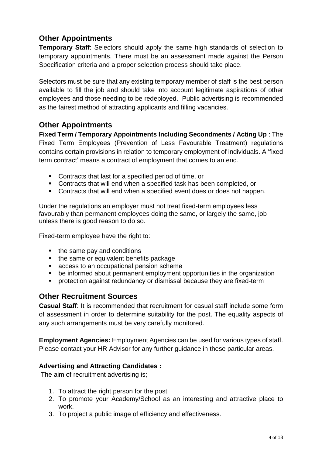# **Other Appointments**

**Temporary Staff**: Selectors should apply the same high standards of selection to temporary appointments. There must be an assessment made against the Person Specification criteria and a proper selection process should take place.

Selectors must be sure that any existing temporary member of staff is the best person available to fill the job and should take into account legitimate aspirations of other employees and those needing to be redeployed. Public advertising is recommended as the fairest method of attracting applicants and filling vacancies.

#### **Other Appointments**

**Fixed Term / Temporary Appointments Including Secondments / Acting Up** : The Fixed Term Employees (Prevention of Less Favourable Treatment) regulations contains certain provisions in relation to temporary employment of individuals. A 'fixed term contract' means a contract of employment that comes to an end.

- Contracts that last for a specified period of time, or
- Contracts that will end when a specified task has been completed, or
- Contracts that will end when a specified event does or does not happen.

Under the regulations an employer must not treat fixed-term employees less favourably than permanent employees doing the same, or largely the same, job unless there is good reason to do so.

Fixed-term employee have the right to:

- the same pay and conditions
- the same or equivalent benefits package
- access to an occupational pension scheme
- be informed about permanent employment opportunities in the organization
- **•** protection against redundancy or dismissal because they are fixed-term

#### **Other Recruitment Sources**

**Casual Staff**: It is recommended that recruitment for casual staff include some form of assessment in order to determine suitability for the post. The equality aspects of any such arrangements must be very carefully monitored.

**Employment Agencies:** Employment Agencies can be used for various types of staff. Please contact your HR Advisor for any further guidance in these particular areas.

#### **Advertising and Attracting Candidates :**

The aim of recruitment advertising is;

- 1. To attract the right person for the post.
- 2. To promote your Academy/School as an interesting and attractive place to work.
- 3. To project a public image of efficiency and effectiveness.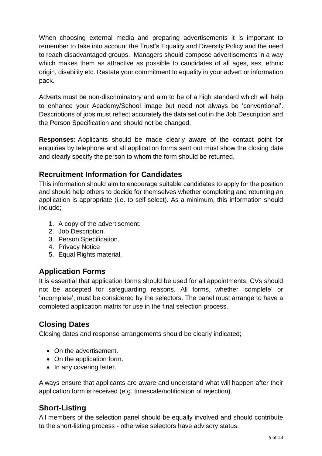When choosing external media and preparing advertisements it is important to remember to take into account the Trust's Equality and Diversity Policy and the need to reach disadvantaged groups. Managers should compose advertisements in a way which makes them as attractive as possible to candidates of all ages, sex, ethnic origin, disability etc. Restate your commitment to equality in your advert or information pack.

Adverts must be non-discriminatory and aim to be of a high standard which will help to enhance your Academy/School image but need not always be 'conventional'. Descriptions of jobs must reflect accurately the data set out in the Job Description and the Person Specification and should not be changed.

**Responses**: Applicants should be made clearly aware of the contact point for enquiries by telephone and all application forms sent out must show the closing date and clearly specify the person to whom the form should be returned.

# **Recruitment Information for Candidates**

This information should aim to encourage suitable candidates to apply for the position and should help others to decide for themselves whether completing and returning an application is appropriate (i.e. to self-select). As a minimum, this information should include;

- 1. A copy of the advertisement.
- 2. Job Description.
- 3. Person Specification.
- 4. Privacy Notice
- 5. Equal Rights material.

# **Application Forms**

It is essential that application forms should be used for all appointments. CVs should not be accepted for safeguarding reasons. All forms, whether 'complete' or 'incomplete', must be considered by the selectors. The panel must arrange to have a completed application matrix for use in the final selection process.

# **Closing Dates**

Closing dates and response arrangements should be clearly indicated;

- On the advertisement.
- On the application form.
- In any covering letter.

Always ensure that applicants are aware and understand what will happen after their application form is received (e.g. timescale/notification of rejection).

# **Short-Listing**

All members of the selection panel should be equally involved and should contribute to the short-listing process - otherwise selectors have advisory status.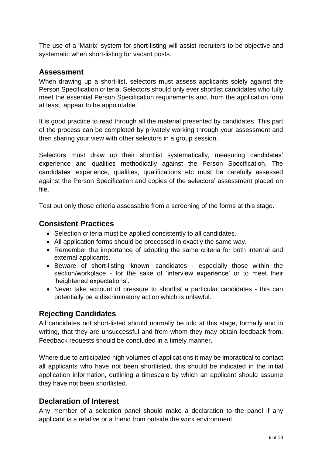The use of a 'Matrix' system for short-listing will assist recruiters to be objective and systematic when short-listing for vacant posts.

#### **Assessment**

When drawing up a short-list, selectors must assess applicants solely against the Person Specification criteria. Selectors should only ever shortlist candidates who fully meet the essential Person Specification requirements and, from the application form at least, appear to be appointable.

It is good practice to read through all the material presented by candidates. This part of the process can be completed by privately working through your assessment and then sharing your view with other selectors in a group session.

Selectors must draw up their shortlist systematically, measuring candidates' experience and qualities methodically against the Person Specification. The candidates' experience, qualities, qualifications etc must be carefully assessed against the Person Specification and copies of the selectors' assessment placed on file.

Test out only those criteria assessable from a screening of the forms at this stage.

#### **Consistent Practices**

- Selection criteria must be applied consistently to all candidates.
- All application forms should be processed in exactly the same way.
- Remember the importance of adopting the same criteria for both internal and external applicants.
- Beware of short-listing 'known' candidates especially those within the section/workplace - for the sake of 'interview experience' or to meet their 'heightened expectations'.
- Never take account of pressure to shortlist a particular candidates this can potentially be a discriminatory action which is unlawful.

# **Rejecting Candidates**

All candidates not short-listed should normally be told at this stage, formally and in writing, that they are unsuccessful and from whom they may obtain feedback from. Feedback requests should be concluded in a timely manner.

Where due to anticipated high volumes of applications it may be impractical to contact all applicants who have not been shortlisted, this should be indicated in the initial application information, outlining a timescale by which an applicant should assume they have not been shortlisted.

# **Declaration of Interest**

Any member of a selection panel should make a declaration to the panel if any applicant is a relative or a friend from outside the work environment.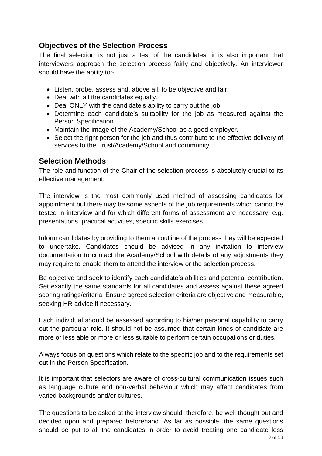# **Objectives of the Selection Process**

The final selection is not just a test of the candidates, it is also important that interviewers approach the selection process fairly and objectively. An interviewer should have the ability to:-

- Listen, probe, assess and, above all, to be objective and fair.
- Deal with all the candidates equally.
- Deal ONLY with the candidate's ability to carry out the job.
- Determine each candidate's suitability for the job as measured against the Person Specification.
- Maintain the image of the Academy/School as a good employer.
- Select the right person for the job and thus contribute to the effective delivery of services to the Trust/Academy/School and community.

#### **Selection Methods**

The role and function of the Chair of the selection process is absolutely crucial to its effective management.

The interview is the most commonly used method of assessing candidates for appointment but there may be some aspects of the job requirements which cannot be tested in interview and for which different forms of assessment are necessary, e.g. presentations, practical activities, specific skills exercises.

Inform candidates by providing to them an outline of the process they will be expected to undertake. Candidates should be advised in any invitation to interview documentation to contact the Academy/School with details of any adjustments they may require to enable them to attend the interview or the selection process.

Be objective and seek to identify each candidate's abilities and potential contribution. Set exactly the same standards for all candidates and assess against these agreed scoring ratings/criteria. Ensure agreed selection criteria are objective and measurable, seeking HR advice if necessary.

Each individual should be assessed according to his/her personal capability to carry out the particular role. It should not be assumed that certain kinds of candidate are more or less able or more or less suitable to perform certain occupations or duties.

Always focus on questions which relate to the specific job and to the requirements set out in the Person Specification.

It is important that selectors are aware of cross-cultural communication issues such as language culture and non-verbal behaviour which may affect candidates from varied backgrounds and/or cultures.

The questions to be asked at the interview should, therefore, be well thought out and decided upon and prepared beforehand. As far as possible, the same questions should be put to all the candidates in order to avoid treating one candidate less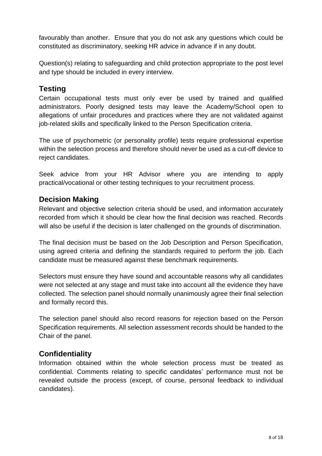favourably than another. Ensure that you do not ask any questions which could be constituted as discriminatory, seeking HR advice in advance if in any doubt.

Question(s) relating to safeguarding and child protection appropriate to the post level and type should be included in every interview.

#### **Testing**

Certain occupational tests must only ever be used by trained and qualified administrators. Poorly designed tests may leave the Academy/School open to allegations of unfair procedures and practices where they are not validated against job-related skills and specifically linked to the Person Specification criteria.

The use of psychometric (or personality profile) tests require professional expertise within the selection process and therefore should never be used as a cut-off device to reject candidates.

Seek advice from your HR Advisor where you are intending to apply practical/vocational or other testing techniques to your recruitment process.

# **Decision Making**

Relevant and objective selection criteria should be used, and information accurately recorded from which it should be clear how the final decision was reached. Records will also be useful if the decision is later challenged on the grounds of discrimination.

The final decision must be based on the Job Description and Person Specification, using agreed criteria and defining the standards required to perform the job. Each candidate must be measured against these benchmark requirements.

Selectors must ensure they have sound and accountable reasons why all candidates were not selected at any stage and must take into account all the evidence they have collected. The selection panel should normally unanimously agree their final selection and formally record this.

The selection panel should also record reasons for rejection based on the Person Specification requirements. All selection assessment records should be handed to the Chair of the panel.

# **Confidentiality**

Information obtained within the whole selection process must be treated as confidential. Comments relating to specific candidates' performance must not be revealed outside the process (except, of course, personal feedback to individual candidates).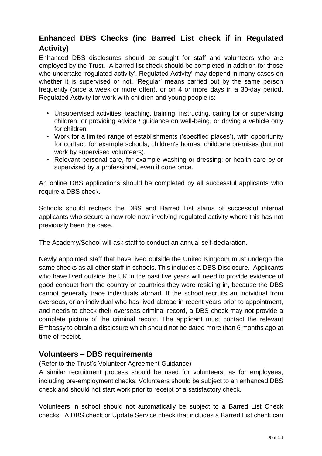# **Enhanced DBS Checks (inc Barred List check if in Regulated Activity)**

Enhanced DBS disclosures should be sought for staff and volunteers who are employed by the Trust. A barred list check should be completed in addition for those who undertake 'regulated activity'. Regulated Activity' may depend in many cases on whether it is supervised or not. 'Regular' means carried out by the same person frequently (once a week or more often), or on 4 or more days in a 30-day period. Regulated Activity for work with children and young people is:

- Unsupervised activities: teaching, training, instructing, caring for or supervising children, or providing advice / guidance on well-being, or driving a vehicle only for children
- Work for a limited range of establishments ('specified places'), with opportunity for contact, for example schools, children's homes, childcare premises (but not work by supervised volunteers).
- Relevant personal care, for example washing or dressing; or health care by or supervised by a professional, even if done once.

An online DBS applications should be completed by all successful applicants who require a DBS check.

Schools should recheck the DBS and Barred List status of successful internal applicants who secure a new role now involving regulated activity where this has not previously been the case.

The Academy/School will ask staff to conduct an annual self-declaration.

Newly appointed staff that have lived outside the United Kingdom must undergo the same checks as all other staff in schools. This includes a DBS Disclosure. Applicants who have lived outside the UK in the past five years will need to provide evidence of good conduct from the country or countries they were residing in, because the DBS cannot generally trace individuals abroad. If the school recruits an individual from overseas, or an individual who has lived abroad in recent years prior to appointment, and needs to check their overseas criminal record, a DBS check may not provide a complete picture of the criminal record. The applicant must contact the relevant Embassy to obtain a disclosure which should not be dated more than 6 months ago at time of receipt.

#### **Volunteers – DBS requirements**

(Refer to the Trust's Volunteer Agreement Guidance)

A similar recruitment process should be used for volunteers, as for employees, including pre-employment checks. Volunteers should be subject to an enhanced DBS check and should not start work prior to receipt of a satisfactory check.

Volunteers in school should not automatically be subject to a Barred List Check checks. A DBS check or Update Service check that includes a Barred List check can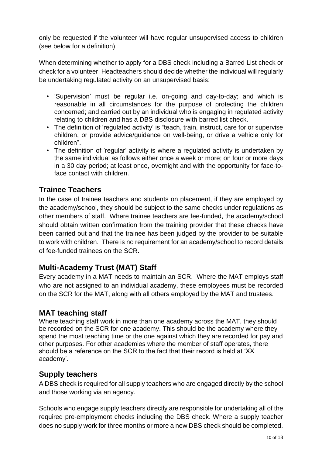only be requested if the volunteer will have regular unsupervised access to children (see below for a definition).

When determining whether to apply for a DBS check including a Barred List check or check for a volunteer, Headteachers should decide whether the individual will regularly be undertaking regulated activity on an unsupervised basis:

- 'Supervision' must be regular i.e. on-going and day-to-day; and which is reasonable in all circumstances for the purpose of protecting the children concerned; and carried out by an individual who is engaging in regulated activity relating to children and has a DBS disclosure with barred list check.
- The definition of 'regulated activity' is "teach, train, instruct, care for or supervise children, or provide advice/guidance on well-being, or drive a vehicle only for children".
- The definition of 'regular' activity is where a regulated activity is undertaken by the same individual as follows either once a week or more; on four or more days in a 30 day period; at least once, overnight and with the opportunity for face-toface contact with children.

# **Trainee Teachers**

In the case of trainee teachers and students on placement, if they are employed by the academy/school, they should be subject to the same checks under regulations as other members of staff. Where trainee teachers are fee-funded, the academy/school should obtain written confirmation from the training provider that these checks have been carried out and that the trainee has been judged by the provider to be suitable to work with children. There is no requirement for an academy/school to record details of fee-funded trainees on the SCR.

# **Multi-Academy Trust (MAT) Staff**

Every academy in a MAT needs to maintain an SCR. Where the MAT employs staff who are not assigned to an individual academy, these employees must be recorded on the SCR for the MAT, along with all others employed by the MAT and trustees.

# **MAT teaching staff**

Where teaching staff work in more than one academy across the MAT, they should be recorded on the SCR for one academy. This should be the academy where they spend the most teaching time or the one against which they are recorded for pay and other purposes. For other academies where the member of staff operates, there should be a reference on the SCR to the fact that their record is held at 'XX academy'.

# **Supply teachers**

A DBS check is required for all supply teachers who are engaged directly by the school and those working via an agency.

Schools who engage supply teachers directly are responsible for undertaking all of the required pre-employment checks including the DBS check. Where a supply teacher does no supply work for three months or more a new DBS check should be completed.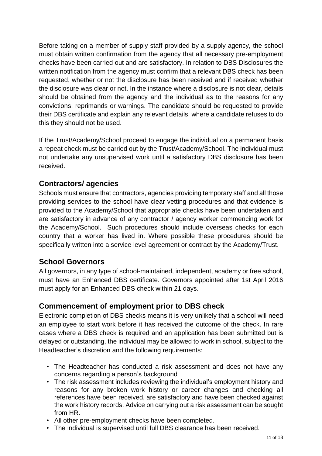Before taking on a member of supply staff provided by a supply agency, the school must obtain written confirmation from the agency that all necessary pre-employment checks have been carried out and are satisfactory. In relation to DBS Disclosures the written notification from the agency must confirm that a relevant DBS check has been requested, whether or not the disclosure has been received and if received whether the disclosure was clear or not. In the instance where a disclosure is not clear, details should be obtained from the agency and the individual as to the reasons for any convictions, reprimands or warnings. The candidate should be requested to provide their DBS certificate and explain any relevant details, where a candidate refuses to do this they should not be used.

If the Trust/Academy/School proceed to engage the individual on a permanent basis a repeat check must be carried out by the Trust/Academy/School. The individual must not undertake any unsupervised work until a satisfactory DBS disclosure has been received.

# **Contractors/ agencies**

Schools must ensure that contractors, agencies providing temporary staff and all those providing services to the school have clear vetting procedures and that evidence is provided to the Academy/School that appropriate checks have been undertaken and are satisfactory in advance of any contractor / agency worker commencing work for the Academy/School. Such procedures should include overseas checks for each country that a worker has lived in. Where possible these procedures should be specifically written into a service level agreement or contract by the Academy/Trust.

# **School Governors**

All governors, in any type of school-maintained, independent, academy or free school, must have an Enhanced DBS certificate. Governors appointed after 1st April 2016 must apply for an Enhanced DBS check within 21 days.

# **Commencement of employment prior to DBS check**

Electronic completion of DBS checks means it is very unlikely that a school will need an employee to start work before it has received the outcome of the check. In rare cases where a DBS check is required and an application has been submitted but is delayed or outstanding, the individual may be allowed to work in school, subject to the Headteacher's discretion and the following requirements:

- The Headteacher has conducted a risk assessment and does not have any concerns regarding a person's background
- The risk assessment includes reviewing the individual's employment history and reasons for any broken work history or career changes and checking all references have been received, are satisfactory and have been checked against the work history records. Advice on carrying out a risk assessment can be sought from HR.
- All other pre-employment checks have been completed.
- The individual is supervised until full DBS clearance has been received.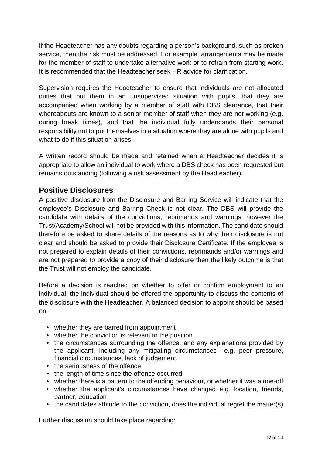If the Headteacher has any doubts regarding a person's background, such as broken service, then the risk must be addressed. For example, arrangements may be made for the member of staff to undertake alternative work or to refrain from starting work. It is recommended that the Headteacher seek HR advice for clarification.

Supervision requires the Headteacher to ensure that individuals are not allocated duties that put them in an unsupervised situation with pupils, that they are accompanied when working by a member of staff with DBS clearance, that their whereabouts are known to a senior member of staff when they are not working (e.g. during break times), and that the individual fully understands their personal responsibility not to put themselves in a situation where they are alone with pupils and what to do if this situation arises

A written record should be made and retained when a Headteacher decides it is appropriate to allow an individual to work where a DBS check has been requested but remains outstanding (following a risk assessment by the Headteacher).

# **Positive Disclosures**

A positive disclosure from the Disclosure and Barring Service will indicate that the employee's Disclosure and Barring Check is not clear. The DBS will provide the candidate with details of the convictions, reprimands and warnings, however the Trust/Academy/School will not be provided with this information. The candidate should therefore be asked to share details of the reasons as to why their disclosure is not clear and should be asked to provide their Disclosure Certificate. If the employee is not prepared to explain details of their convictions, reprimands and/or warnings and are not prepared to provide a copy of their disclosure then the likely outcome is that the Trust will not employ the candidate.

Before a decision is reached on whether to offer or confirm employment to an individual, the individual should be offered the opportunity to discuss the contents of the disclosure with the Headteacher. A balanced decision to appoint should be based on:

- whether they are barred from appointment
- whether the conviction is relevant to the position
- the circumstances surrounding the offence, and any explanations provided by the applicant, including any mitigating circumstances –e.g. peer pressure, financial circumstances, lack of judgement.
- the seriousness of the offence
- the length of time since the offence occurred
- whether there is a pattern to the offending behaviour, or whether it was a one-off
- whether the applicant's circumstances have changed e.g. location, friends, partner, education
- the candidates attitude to the conviction, does the individual regret the matter(s)

Further discussion should take place regarding: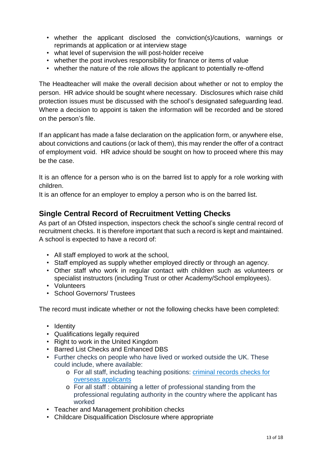- whether the applicant disclosed the conviction(s)/cautions, warnings or reprimands at application or at interview stage
- what level of supervision the will post-holder receive
- whether the post involves responsibility for finance or items of value
- whether the nature of the role allows the applicant to potentially re-offend

The Headteacher will make the overall decision about whether or not to employ the person. HR advice should be sought where necessary. Disclosures which raise child protection issues must be discussed with the school's designated safeguarding lead. Where a decision to appoint is taken the information will be recorded and be stored on the person's file.

If an applicant has made a false declaration on the application form, or anywhere else, about convictions and cautions (or lack of them), this may render the offer of a contract of employment void. HR advice should be sought on how to proceed where this may be the case.

It is an offence for a person who is on the barred list to apply for a role working with children.

It is an offence for an employer to employ a person who is on the barred list.

#### **Single Central Record of Recruitment Vetting Checks**

As part of an Ofsted inspection, inspectors check the school's single central record of recruitment checks. It is therefore important that such a record is kept and maintained. A school is expected to have a record of:

- All staff employed to work at the school,
- Staff employed as supply whether employed directly or through an agency.
- Other staff who work in regular contact with children such as volunteers or specialist instructors (including Trust or other Academy/School employees).
- Volunteers
- School Governors/ Trustees

The record must indicate whether or not the following checks have been completed:

- Identity
- Qualifications legally required
- Right to work in the United Kingdom
- Barred List Checks and Enhanced DBS
- Further checks on people who have lived or worked outside the UK. These could include, where available:
	- o For all staff, including teaching positions: [criminal](https://www.gov.uk/government/publications/criminal-records-checks-for-overseas-applicants) records checks for overseas [applicants](https://www.gov.uk/government/publications/criminal-records-checks-for-overseas-applicants)
	- o For all staff : obtaining a letter of professional standing from the professional regulating authority in the country where the applicant has worked
- Teacher and Management prohibition checks
- Childcare Disqualification Disclosure where appropriate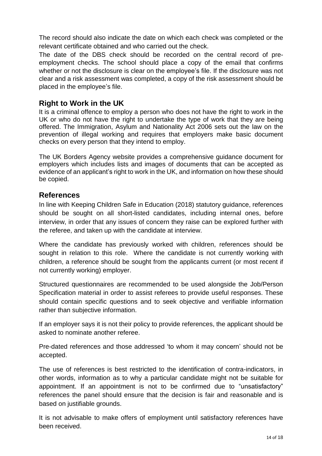The record should also indicate the date on which each check was completed or the relevant certificate obtained and who carried out the check.

The date of the DBS check should be recorded on the central record of preemployment checks. The school should place a copy of the email that confirms whether or not the disclosure is clear on the employee's file. If the disclosure was not clear and a risk assessment was completed, a copy of the risk assessment should be placed in the employee's file.

### **Right to Work in the UK**

It is a criminal offence to employ a person who does not have the right to work in the UK or who do not have the right to undertake the type of work that they are being offered. The Immigration, Asylum and Nationality Act 2006 sets out the law on the prevention of illegal working and requires that employers make basic document checks on every person that they intend to employ.

The UK Borders Agency website provides a comprehensive guidance document for employers which includes lists and images of documents that can be accepted as evidence of an applicant's right to work in the UK, and information on how these should be copied.

#### **References**

In line with Keeping Children Safe in Education (2018) statutory guidance, references should be sought on all short-listed candidates, including internal ones, before interview, in order that any issues of concern they raise can be explored further with the referee, and taken up with the candidate at interview.

Where the candidate has previously worked with children, references should be sought in relation to this role. Where the candidate is not currently working with children, a reference should be sought from the applicants current (or most recent if not currently working) employer.

Structured questionnaires are recommended to be used alongside the Job/Person Specification material in order to assist referees to provide useful responses. These should contain specific questions and to seek objective and verifiable information rather than subjective information.

If an employer says it is not their policy to provide references, the applicant should be asked to nominate another referee.

Pre-dated references and those addressed 'to whom it may concern' should not be accepted.

The use of references is best restricted to the identification of contra-indicators, in other words, information as to why a particular candidate might not be suitable for appointment. If an appointment is not to be confirmed due to "unsatisfactory" references the panel should ensure that the decision is fair and reasonable and is based on justifiable grounds.

It is not advisable to make offers of employment until satisfactory references have been received.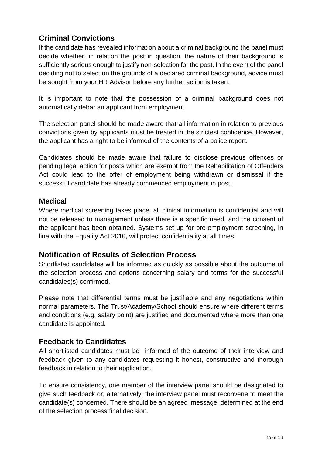# **Criminal Convictions**

If the candidate has revealed information about a criminal background the panel must decide whether, in relation the post in question, the nature of their background is sufficiently serious enough to justify non-selection for the post. In the event of the panel deciding not to select on the grounds of a declared criminal background, advice must be sought from your HR Advisor before any further action is taken.

It is important to note that the possession of a criminal background does not automatically debar an applicant from employment.

The selection panel should be made aware that all information in relation to previous convictions given by applicants must be treated in the strictest confidence. However, the applicant has a right to be informed of the contents of a police report.

Candidates should be made aware that failure to disclose previous offences or pending legal action for posts which are exempt from the Rehabilitation of Offenders Act could lead to the offer of employment being withdrawn or dismissal if the successful candidate has already commenced employment in post.

#### **Medical**

Where medical screening takes place, all clinical information is confidential and will not be released to management unless there is a specific need, and the consent of the applicant has been obtained. Systems set up for pre-employment screening, in line with the Equality Act 2010, will protect confidentiality at all times.

#### **Notification of Results of Selection Process**

Shortlisted candidates will be informed as quickly as possible about the outcome of the selection process and options concerning salary and terms for the successful candidates(s) confirmed.

Please note that differential terms must be justifiable and any negotiations within normal parameters. The Trust/Academy/School should ensure where different terms and conditions (e.g. salary point) are justified and documented where more than one candidate is appointed.

# **Feedback to Candidates**

All shortlisted candidates must be informed of the outcome of their interview and feedback given to any candidates requesting it honest, constructive and thorough feedback in relation to their application.

To ensure consistency, one member of the interview panel should be designated to give such feedback or, alternatively, the interview panel must reconvene to meet the candidate(s) concerned. There should be an agreed 'message' determined at the end of the selection process final decision.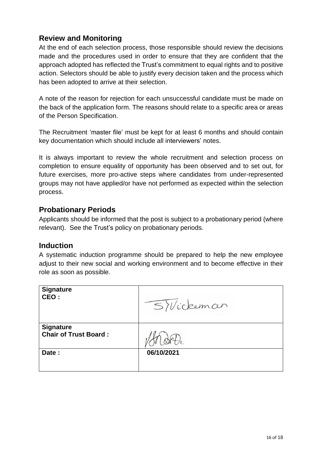# **Review and Monitoring**

At the end of each selection process, those responsible should review the decisions made and the procedures used in order to ensure that they are confident that the approach adopted has reflected the Trust's commitment to equal rights and to positive action. Selectors should be able to justify every decision taken and the process which has been adopted to arrive at their selection.

A note of the reason for rejection for each unsuccessful candidate must be made on the back of the application form. The reasons should relate to a specific area or areas of the Person Specification.

The Recruitment 'master file' must be kept for at least 6 months and should contain key documentation which should include all interviewers' notes.

It is always important to review the whole recruitment and selection process on completion to ensure equality of opportunity has been observed and to set out, for future exercises, more pro-active steps where candidates from under-represented groups may not have applied/or have not performed as expected within the selection process.

# **Probationary Periods**

Applicants should be informed that the post is subject to a probationary period (where relevant). See the Trust's policy on probationary periods.

#### **Induction**

A systematic induction programme should be prepared to help the new employee adjust to their new social and working environment and to become effective in their role as soon as possible.

| <b>Signature</b><br>CEO:                         | SiVickeman |
|--------------------------------------------------|------------|
| <b>Signature</b><br><b>Chair of Trust Board:</b> |            |
| Date:                                            | 06/10/2021 |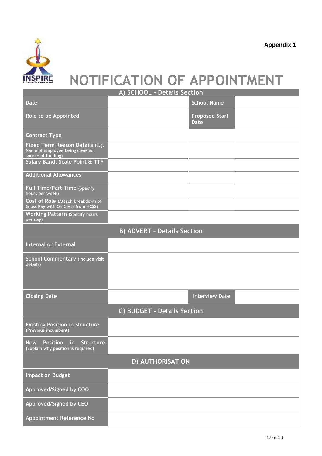

# **NOTIFICATION OF APPOINTMENT**

**A) SCHOOL - Details Section**

|                                                                                                                            | A) JUITUUL - DETAIIS JECTIUII |                                      |  |  |
|----------------------------------------------------------------------------------------------------------------------------|-------------------------------|--------------------------------------|--|--|
| <b>Date</b>                                                                                                                |                               | <b>School Name</b>                   |  |  |
| Role to be Appointed                                                                                                       |                               | <b>Proposed Start</b><br><b>Date</b> |  |  |
| <b>Contract Type</b>                                                                                                       |                               |                                      |  |  |
| Fixed Term Reason Details (E.g.<br>Name of employee being covered,<br>source of funding)<br>Salary Band, Scale Point & TTF |                               |                                      |  |  |
| <b>Additional Allowances</b>                                                                                               |                               |                                      |  |  |
|                                                                                                                            |                               |                                      |  |  |
| <b>Full Time/Part Time (Specify</b><br>hours per week)                                                                     |                               |                                      |  |  |
| Cost of Role (Attach breakdown of<br>Gross Pay with On Costs from HCSS)                                                    |                               |                                      |  |  |
| <b>Working Pattern (Specify hours</b><br>per day)                                                                          |                               |                                      |  |  |
| <b>B) ADVERT - Details Section</b>                                                                                         |                               |                                      |  |  |
| <b>Internal or External</b>                                                                                                |                               |                                      |  |  |
| <b>School Commentary (Include visit</b><br>details)                                                                        |                               |                                      |  |  |
| <b>Closing Date</b>                                                                                                        |                               | <b>Interview Date</b>                |  |  |
| C) BUDGET - Details Section                                                                                                |                               |                                      |  |  |
| <b>Existing Position in Structure</b><br>(Previous incumbent)                                                              |                               |                                      |  |  |
| Position in Structure<br><b>New</b><br>(Explain why position is required)                                                  |                               |                                      |  |  |
| D) AUTHORISATION                                                                                                           |                               |                                      |  |  |
| Impact on Budget                                                                                                           |                               |                                      |  |  |
| Approved/Signed by COO                                                                                                     |                               |                                      |  |  |
| Approved/Signed by CEO                                                                                                     |                               |                                      |  |  |
| <b>Appointment Reference No</b>                                                                                            |                               |                                      |  |  |